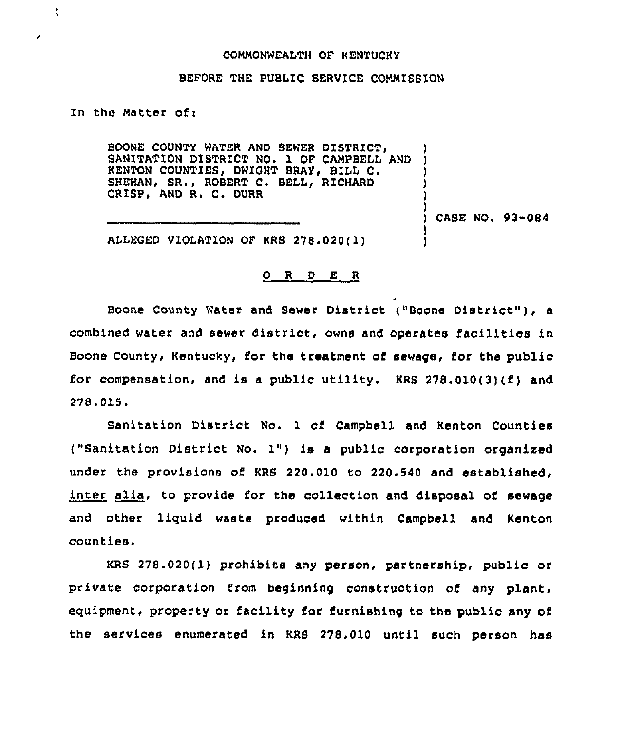## COMMONWEALTH OF KENTUCKY

## BEFORE THE PUBLIC SERVICE COMMISSION

In the Matter of:

 $\overline{\mathbf{r}}$ 

BOONE COUNTY WATER AND SEWER DISTRICT, BOONE COUNTY WATER AND SEWER DISTRICT, THE CAMPBELL AND KENTON COUNTIES, DWIGHT BRAY, BILL C. SHEHAN, SR., ROBERT C. BELL, RICHARD CRISP, AND R. C. DURR

) CASE NOi 93-084

) ) ) ) )

) )

ALLEGED VIOLATION OF KRS 278.020(l)

## 0 <sup>R</sup> <sup>D</sup> E <sup>R</sup>

Boone County Water and Sewer District {"Boone District" ), <sup>a</sup> combined water and sewer district, owns and operates facilities in Boone County, Kentucky, for the treatment of sewage, for the public for compensation, and is a public utility. KRS  $278.010(3)(f)$  and 278.015.

Sanitation District No. 1 of Campbell and Kenton Counties ("Sanitation District No. 1") is <sup>a</sup> public corporation organized under the provisions of KRS 220.010 to 220.540 and established, inter alia, to provide for the collection and disposal of sewage and other liquid waste produced within Campbell and Kenton counties.

KRS 278.020( 1) prohibits any person, partnership< public or private corporation from beginning construction of any plant, equipment, property or facility for furnishing to the public any of the services enumerated in KRS 278.010 until such person has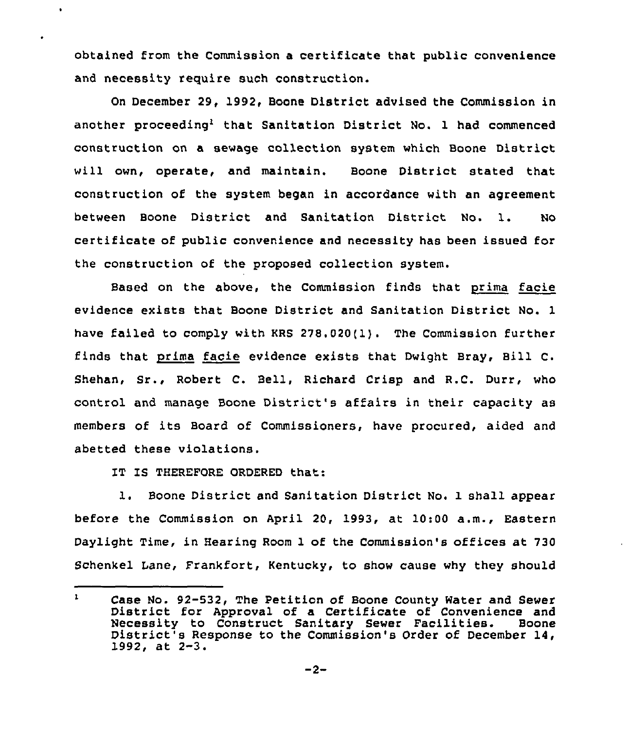obtained from the Commission a certificate that public convenience and necessity require such construction.

On December 29, 1992, Boone District advised the Commission in another proceeding<sup>1</sup> that Sanitation District No. 1 had commenced construction on a sewage collection system which Boone District will own, operate, and maintain. Boone District stated that construction of the system began in accordance with an agreement between Boone District and Sanitation District No. 1. No certificate of public convenience and necessity has been issued for the construction of the proposed collection system.

Based on the above, the Commission finds that prima facie evidence exists that Boone District and Sanitation District No. 1 have failed to comply with KRS 278,020{1}. The Commission further finds that prima facie evidence exists that Dwight Bray, Bill C. Shehan, Sr., Robert C. Bell, Richard Crisp and R.C. Durr, who control and manage Boone District's affairs in their capacity as members of its Board of Commissioners, have procured, aided and abetted these violations.

IT IS THEREFORE ORDERED that:

 $\ddot{\phantom{a}}$ 

ä.

1. Boone District and Sanitation District No. 1 shall appear before the Commission on April 20, 1993, at 10:00 a.m., Eastern Daylight Time, in Hearing Room 1 of the Commission's offices at 730 Schenkel Lane, Frankfort, Kentucky, to show cause why they should

 $\mathbf{1}$ Case No. 92-532, The Petition of Boone County Water and Sewer<br>District for Approval of a Certificate of Convenience and<br>Necessity to Construct Sanitary Sewer Facilities. Boone District<sup>1</sup>s Response to the Commission's Order of December 14,<br>1992, at 2-3.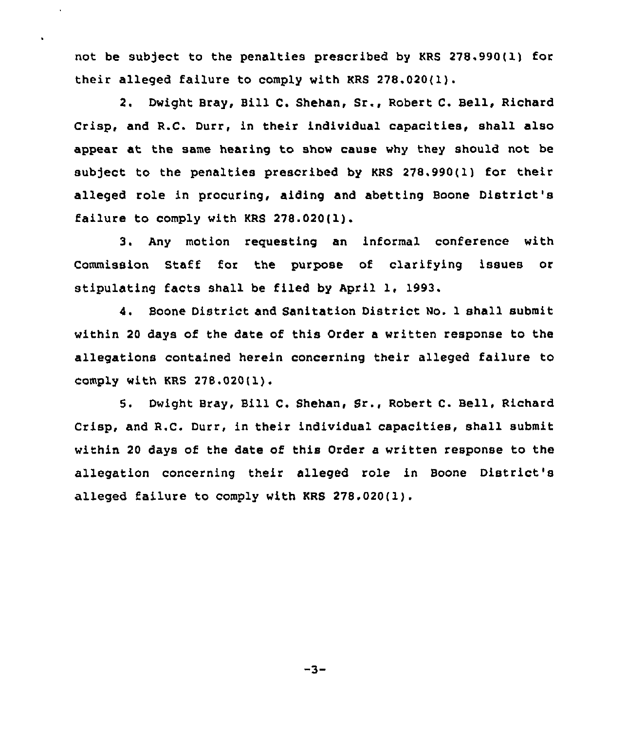not be sub)ect to the penalties prescribed by KRS 278.990(l) for their alleged failure to comply with KRS 278.020(1).

 $\hat{\mathbf{r}}$ 

2. Dwight Bray, Bill C. Shehan, Sr., Robert C. Bell, Richard Crisp, and R.C. Durr, in their individual capacities, shall also appear at the same hearing to show cause why they should not be subject to the penalties prescribed by KRS 278.990(1) for their alleged role in procuring, aiding and abetting Boone District's failure to comply with KRS 278.020(l).

3. Any motion requesting an informal conference with Commission Staff for the purpose of clarifying issues or stipulating facts shall be filed by April 1, 1993.

4. Boone District and Sanitation District No. 1 shall submit within 20 days of the date of this Order a written response to the allegations contained herein concerning their alleged failure to comply with KRS 278.020(l).

5. Dwight Bray, Bill C. Shehan, Sr., Robert C. Bell, Richard Crisp, and R.C. Durr, in their individual capacities, shall submit within 20 days of the date of this Order a written response to the allegation concerning their alleged role in Boone District's alleged failure to comply with KRS 278.020(1).

 $-3-$